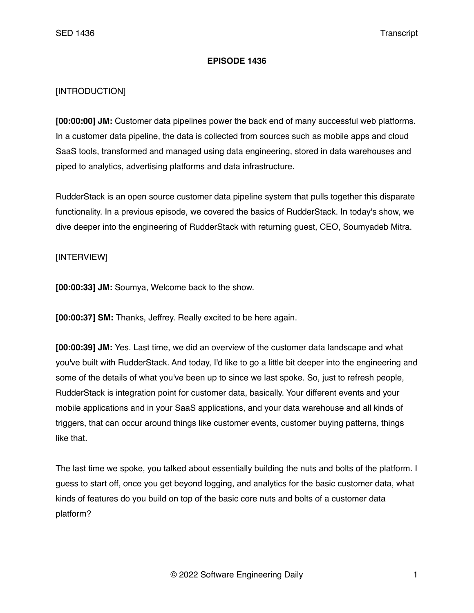## **EPISODE 1436**

## [INTRODUCTION]

**[00:00:00] JM:** Customer data pipelines power the back end of many successful web platforms. In a customer data pipeline, the data is collected from sources such as mobile apps and cloud SaaS tools, transformed and managed using data engineering, stored in data warehouses and piped to analytics, advertising platforms and data infrastructure.

RudderStack is an open source customer data pipeline system that pulls together this disparate functionality. In a previous episode, we covered the basics of RudderStack. In today's show, we dive deeper into the engineering of RudderStack with returning guest, CEO, Soumyadeb Mitra.

## [INTERVIEW]

**[00:00:33] JM:** Soumya, Welcome back to the show.

**[00:00:37] SM:** Thanks, Jeffrey. Really excited to be here again.

**[00:00:39] JM:** Yes. Last time, we did an overview of the customer data landscape and what you've built with RudderStack. And today, I'd like to go a little bit deeper into the engineering and some of the details of what you've been up to since we last spoke. So, just to refresh people, RudderStack is integration point for customer data, basically. Your different events and your mobile applications and in your SaaS applications, and your data warehouse and all kinds of triggers, that can occur around things like customer events, customer buying patterns, things like that.

The last time we spoke, you talked about essentially building the nuts and bolts of the platform. I guess to start off, once you get beyond logging, and analytics for the basic customer data, what kinds of features do you build on top of the basic core nuts and bolts of a customer data platform?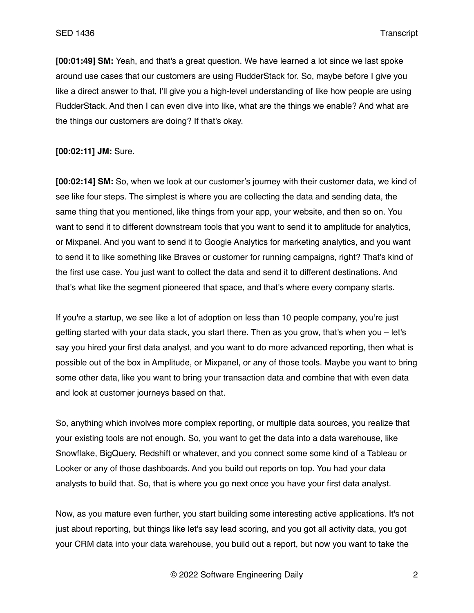**[00:01:49] SM:** Yeah, and that's a great question. We have learned a lot since we last spoke around use cases that our customers are using RudderStack for. So, maybe before I give you like a direct answer to that, I'll give you a high-level understanding of like how people are using RudderStack. And then I can even dive into like, what are the things we enable? And what are the things our customers are doing? If that's okay.

## **[00:02:11] JM:** Sure.

**[00:02:14] SM:** So, when we look at our customer's journey with their customer data, we kind of see like four steps. The simplest is where you are collecting the data and sending data, the same thing that you mentioned, like things from your app, your website, and then so on. You want to send it to different downstream tools that you want to send it to amplitude for analytics, or Mixpanel. And you want to send it to Google Analytics for marketing analytics, and you want to send it to like something like Braves or customer for running campaigns, right? That's kind of the first use case. You just want to collect the data and send it to different destinations. And that's what like the segment pioneered that space, and that's where every company starts.

If you're a startup, we see like a lot of adoption on less than 10 people company, you're just getting started with your data stack, you start there. Then as you grow, that's when you – let's say you hired your first data analyst, and you want to do more advanced reporting, then what is possible out of the box in Amplitude, or Mixpanel, or any of those tools. Maybe you want to bring some other data, like you want to bring your transaction data and combine that with even data and look at customer journeys based on that.

So, anything which involves more complex reporting, or multiple data sources, you realize that your existing tools are not enough. So, you want to get the data into a data warehouse, like Snowflake, BigQuery, Redshift or whatever, and you connect some some kind of a Tableau or Looker or any of those dashboards. And you build out reports on top. You had your data analysts to build that. So, that is where you go next once you have your first data analyst.

Now, as you mature even further, you start building some interesting active applications. It's not just about reporting, but things like let's say lead scoring, and you got all activity data, you got your CRM data into your data warehouse, you build out a report, but now you want to take the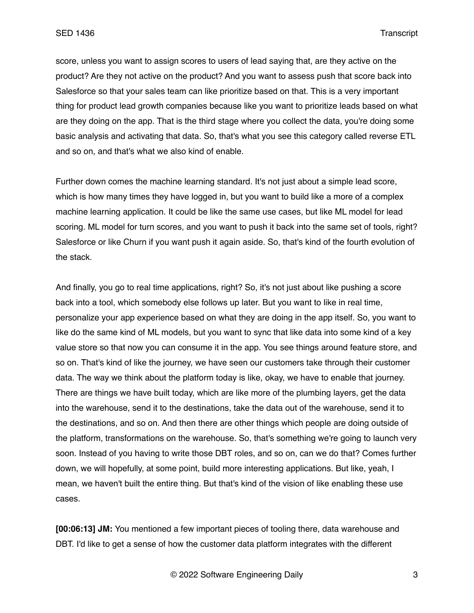score, unless you want to assign scores to users of lead saying that, are they active on the product? Are they not active on the product? And you want to assess push that score back into Salesforce so that your sales team can like prioritize based on that. This is a very important thing for product lead growth companies because like you want to prioritize leads based on what are they doing on the app. That is the third stage where you collect the data, you're doing some basic analysis and activating that data. So, that's what you see this category called reverse ETL and so on, and that's what we also kind of enable.

Further down comes the machine learning standard. It's not just about a simple lead score, which is how many times they have logged in, but you want to build like a more of a complex machine learning application. It could be like the same use cases, but like ML model for lead scoring. ML model for turn scores, and you want to push it back into the same set of tools, right? Salesforce or like Churn if you want push it again aside. So, that's kind of the fourth evolution of the stack.

And finally, you go to real time applications, right? So, it's not just about like pushing a score back into a tool, which somebody else follows up later. But you want to like in real time, personalize your app experience based on what they are doing in the app itself. So, you want to like do the same kind of ML models, but you want to sync that like data into some kind of a key value store so that now you can consume it in the app. You see things around feature store, and so on. That's kind of like the journey, we have seen our customers take through their customer data. The way we think about the platform today is like, okay, we have to enable that journey. There are things we have built today, which are like more of the plumbing layers, get the data into the warehouse, send it to the destinations, take the data out of the warehouse, send it to the destinations, and so on. And then there are other things which people are doing outside of the platform, transformations on the warehouse. So, that's something we're going to launch very soon. Instead of you having to write those DBT roles, and so on, can we do that? Comes further down, we will hopefully, at some point, build more interesting applications. But like, yeah, I mean, we haven't built the entire thing. But that's kind of the vision of like enabling these use cases.

**[00:06:13] JM:** You mentioned a few important pieces of tooling there, data warehouse and DBT. I'd like to get a sense of how the customer data platform integrates with the different

© 2022 Software Engineering Daily 3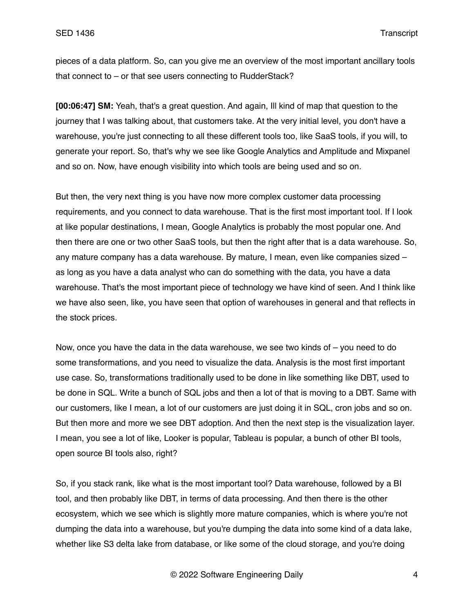pieces of a data platform. So, can you give me an overview of the most important ancillary tools that connect to – or that see users connecting to RudderStack?

**[00:06:47] SM:** Yeah, that's a great question. And again, Ill kind of map that question to the journey that I was talking about, that customers take. At the very initial level, you don't have a warehouse, you're just connecting to all these different tools too, like SaaS tools, if you will, to generate your report. So, that's why we see like Google Analytics and Amplitude and Mixpanel and so on. Now, have enough visibility into which tools are being used and so on.

But then, the very next thing is you have now more complex customer data processing requirements, and you connect to data warehouse. That is the first most important tool. If I look at like popular destinations, I mean, Google Analytics is probably the most popular one. And then there are one or two other SaaS tools, but then the right after that is a data warehouse. So, any mature company has a data warehouse. By mature, I mean, even like companies sized – as long as you have a data analyst who can do something with the data, you have a data warehouse. That's the most important piece of technology we have kind of seen. And I think like we have also seen, like, you have seen that option of warehouses in general and that reflects in the stock prices.

Now, once you have the data in the data warehouse, we see two kinds of – you need to do some transformations, and you need to visualize the data. Analysis is the most first important use case. So, transformations traditionally used to be done in like something like DBT, used to be done in SQL. Write a bunch of SQL jobs and then a lot of that is moving to a DBT. Same with our customers, like I mean, a lot of our customers are just doing it in SQL, cron jobs and so on. But then more and more we see DBT adoption. And then the next step is the visualization layer. I mean, you see a lot of like, Looker is popular, Tableau is popular, a bunch of other BI tools, open source BI tools also, right?

So, if you stack rank, like what is the most important tool? Data warehouse, followed by a BI tool, and then probably like DBT, in terms of data processing. And then there is the other ecosystem, which we see which is slightly more mature companies, which is where you're not dumping the data into a warehouse, but you're dumping the data into some kind of a data lake, whether like S3 delta lake from database, or like some of the cloud storage, and you're doing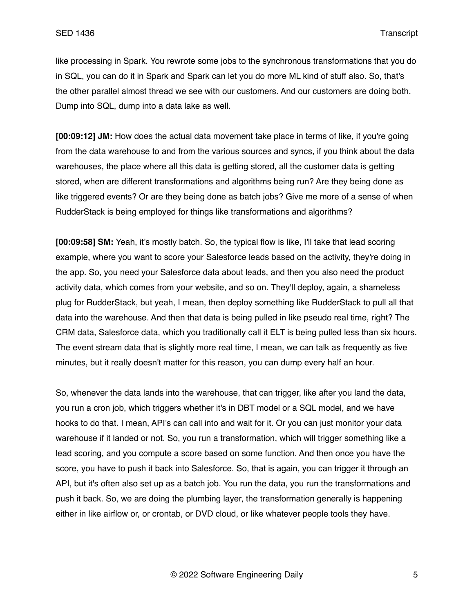like processing in Spark. You rewrote some jobs to the synchronous transformations that you do in SQL, you can do it in Spark and Spark can let you do more ML kind of stuff also. So, that's the other parallel almost thread we see with our customers. And our customers are doing both. Dump into SQL, dump into a data lake as well.

**[00:09:12] JM:** How does the actual data movement take place in terms of like, if you're going from the data warehouse to and from the various sources and syncs, if you think about the data warehouses, the place where all this data is getting stored, all the customer data is getting stored, when are different transformations and algorithms being run? Are they being done as like triggered events? Or are they being done as batch jobs? Give me more of a sense of when RudderStack is being employed for things like transformations and algorithms?

**[00:09:58] SM:** Yeah, it's mostly batch. So, the typical flow is like, I'll take that lead scoring example, where you want to score your Salesforce leads based on the activity, they're doing in the app. So, you need your Salesforce data about leads, and then you also need the product activity data, which comes from your website, and so on. They'll deploy, again, a shameless plug for RudderStack, but yeah, I mean, then deploy something like RudderStack to pull all that data into the warehouse. And then that data is being pulled in like pseudo real time, right? The CRM data, Salesforce data, which you traditionally call it ELT is being pulled less than six hours. The event stream data that is slightly more real time, I mean, we can talk as frequently as five minutes, but it really doesn't matter for this reason, you can dump every half an hour.

So, whenever the data lands into the warehouse, that can trigger, like after you land the data, you run a cron job, which triggers whether it's in DBT model or a SQL model, and we have hooks to do that. I mean, API's can call into and wait for it. Or you can just monitor your data warehouse if it landed or not. So, you run a transformation, which will trigger something like a lead scoring, and you compute a score based on some function. And then once you have the score, you have to push it back into Salesforce. So, that is again, you can trigger it through an API, but it's often also set up as a batch job. You run the data, you run the transformations and push it back. So, we are doing the plumbing layer, the transformation generally is happening either in like airflow or, or crontab, or DVD cloud, or like whatever people tools they have.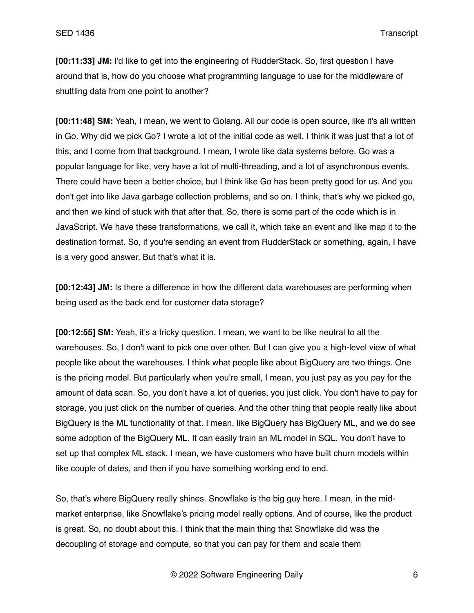**[00:11:33] JM:** I'd like to get into the engineering of RudderStack. So, first question I have around that is, how do you choose what programming language to use for the middleware of shuttling data from one point to another?

**[00:11:48] SM:** Yeah, I mean, we went to Golang. All our code is open source, like it's all written in Go. Why did we pick Go? I wrote a lot of the initial code as well. I think it was just that a lot of this, and I come from that background. I mean, I wrote like data systems before. Go was a popular language for like, very have a lot of multi-threading, and a lot of asynchronous events. There could have been a better choice, but I think like Go has been pretty good for us. And you don't get into like Java garbage collection problems, and so on. I think, that's why we picked go, and then we kind of stuck with that after that. So, there is some part of the code which is in JavaScript. We have these transformations, we call it, which take an event and like map it to the destination format. So, if you're sending an event from RudderStack or something, again, I have is a very good answer. But that's what it is.

**[00:12:43] JM:** Is there a difference in how the different data warehouses are performing when being used as the back end for customer data storage?

**[00:12:55] SM:** Yeah, it's a tricky question. I mean, we want to be like neutral to all the warehouses. So, I don't want to pick one over other. But I can give you a high-level view of what people like about the warehouses. I think what people like about BigQuery are two things. One is the pricing model. But particularly when you're small, I mean, you just pay as you pay for the amount of data scan. So, you don't have a lot of queries, you just click. You don't have to pay for storage, you just click on the number of queries. And the other thing that people really like about BigQuery is the ML functionality of that. I mean, like BigQuery has BigQuery ML, and we do see some adoption of the BigQuery ML. It can easily train an ML model in SQL. You don't have to set up that complex ML stack. I mean, we have customers who have built churn models within like couple of dates, and then if you have something working end to end.

So, that's where BigQuery really shines. Snowflake is the big guy here. I mean, in the midmarket enterprise, like Snowflake's pricing model really options. And of course, like the product is great. So, no doubt about this. I think that the main thing that Snowflake did was the decoupling of storage and compute, so that you can pay for them and scale them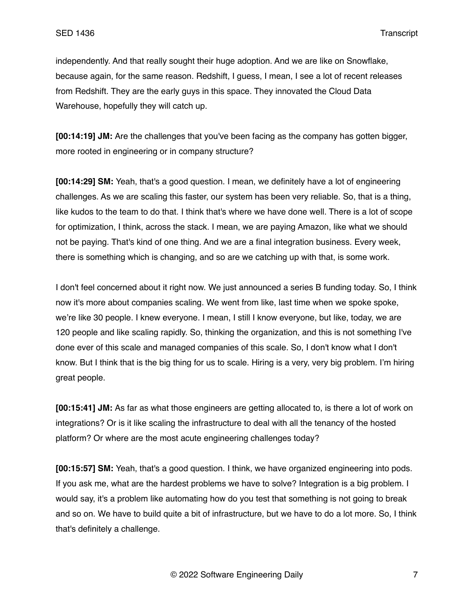independently. And that really sought their huge adoption. And we are like on Snowflake, because again, for the same reason. Redshift, I guess, I mean, I see a lot of recent releases from Redshift. They are the early guys in this space. They innovated the Cloud Data Warehouse, hopefully they will catch up.

**[00:14:19] JM:** Are the challenges that you've been facing as the company has gotten bigger, more rooted in engineering or in company structure?

**[00:14:29] SM:** Yeah, that's a good question. I mean, we definitely have a lot of engineering challenges. As we are scaling this faster, our system has been very reliable. So, that is a thing, like kudos to the team to do that. I think that's where we have done well. There is a lot of scope for optimization, I think, across the stack. I mean, we are paying Amazon, like what we should not be paying. That's kind of one thing. And we are a final integration business. Every week, there is something which is changing, and so are we catching up with that, is some work.

I don't feel concerned about it right now. We just announced a series B funding today. So, I think now it's more about companies scaling. We went from like, last time when we spoke spoke, we're like 30 people. I knew everyone. I mean, I still I know everyone, but like, today, we are 120 people and like scaling rapidly. So, thinking the organization, and this is not something I've done ever of this scale and managed companies of this scale. So, I don't know what I don't know. But I think that is the big thing for us to scale. Hiring is a very, very big problem. I'm hiring great people.

**[00:15:41] JM:** As far as what those engineers are getting allocated to, is there a lot of work on integrations? Or is it like scaling the infrastructure to deal with all the tenancy of the hosted platform? Or where are the most acute engineering challenges today?

**[00:15:57] SM:** Yeah, that's a good question. I think, we have organized engineering into pods. If you ask me, what are the hardest problems we have to solve? Integration is a big problem. I would say, it's a problem like automating how do you test that something is not going to break and so on. We have to build quite a bit of infrastructure, but we have to do a lot more. So, I think that's definitely a challenge.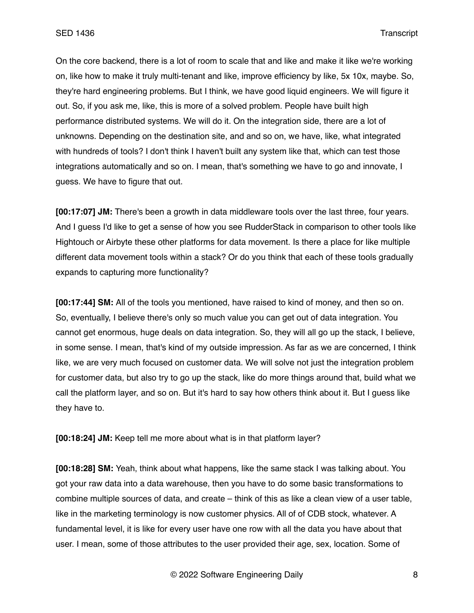On the core backend, there is a lot of room to scale that and like and make it like we're working on, like how to make it truly multi-tenant and like, improve efficiency by like, 5x 10x, maybe. So, they're hard engineering problems. But I think, we have good liquid engineers. We will figure it out. So, if you ask me, like, this is more of a solved problem. People have built high performance distributed systems. We will do it. On the integration side, there are a lot of unknowns. Depending on the destination site, and and so on, we have, like, what integrated with hundreds of tools? I don't think I haven't built any system like that, which can test those integrations automatically and so on. I mean, that's something we have to go and innovate, I guess. We have to figure that out.

**[00:17:07] JM:** There's been a growth in data middleware tools over the last three, four years. And I guess I'd like to get a sense of how you see RudderStack in comparison to other tools like Hightouch or Airbyte these other platforms for data movement. Is there a place for like multiple different data movement tools within a stack? Or do you think that each of these tools gradually expands to capturing more functionality?

**[00:17:44] SM:** All of the tools you mentioned, have raised to kind of money, and then so on. So, eventually, I believe there's only so much value you can get out of data integration. You cannot get enormous, huge deals on data integration. So, they will all go up the stack, I believe, in some sense. I mean, that's kind of my outside impression. As far as we are concerned, I think like, we are very much focused on customer data. We will solve not just the integration problem for customer data, but also try to go up the stack, like do more things around that, build what we call the platform layer, and so on. But it's hard to say how others think about it. But I guess like they have to.

**[00:18:24] JM:** Keep tell me more about what is in that platform layer?

**[00:18:28] SM:** Yeah, think about what happens, like the same stack I was talking about. You got your raw data into a data warehouse, then you have to do some basic transformations to combine multiple sources of data, and create – think of this as like a clean view of a user table, like in the marketing terminology is now customer physics. All of of CDB stock, whatever. A fundamental level, it is like for every user have one row with all the data you have about that user. I mean, some of those attributes to the user provided their age, sex, location. Some of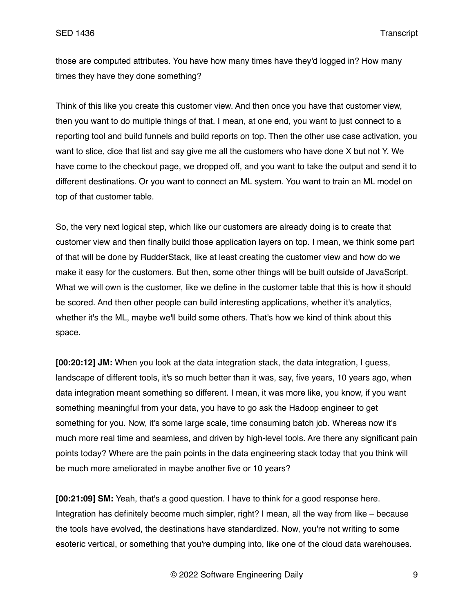those are computed attributes. You have how many times have they'd logged in? How many times they have they done something?

Think of this like you create this customer view. And then once you have that customer view, then you want to do multiple things of that. I mean, at one end, you want to just connect to a reporting tool and build funnels and build reports on top. Then the other use case activation, you want to slice, dice that list and say give me all the customers who have done X but not Y. We have come to the checkout page, we dropped off, and you want to take the output and send it to different destinations. Or you want to connect an ML system. You want to train an ML model on top of that customer table.

So, the very next logical step, which like our customers are already doing is to create that customer view and then finally build those application layers on top. I mean, we think some part of that will be done by RudderStack, like at least creating the customer view and how do we make it easy for the customers. But then, some other things will be built outside of JavaScript. What we will own is the customer, like we define in the customer table that this is how it should be scored. And then other people can build interesting applications, whether it's analytics, whether it's the ML, maybe we'll build some others. That's how we kind of think about this space.

**[00:20:12] JM:** When you look at the data integration stack, the data integration, I guess, landscape of different tools, it's so much better than it was, say, five years, 10 years ago, when data integration meant something so different. I mean, it was more like, you know, if you want something meaningful from your data, you have to go ask the Hadoop engineer to get something for you. Now, it's some large scale, time consuming batch job. Whereas now it's much more real time and seamless, and driven by high-level tools. Are there any significant pain points today? Where are the pain points in the data engineering stack today that you think will be much more ameliorated in maybe another five or 10 years?

**[00:21:09] SM:** Yeah, that's a good question. I have to think for a good response here. Integration has definitely become much simpler, right? I mean, all the way from like – because the tools have evolved, the destinations have standardized. Now, you're not writing to some esoteric vertical, or something that you're dumping into, like one of the cloud data warehouses.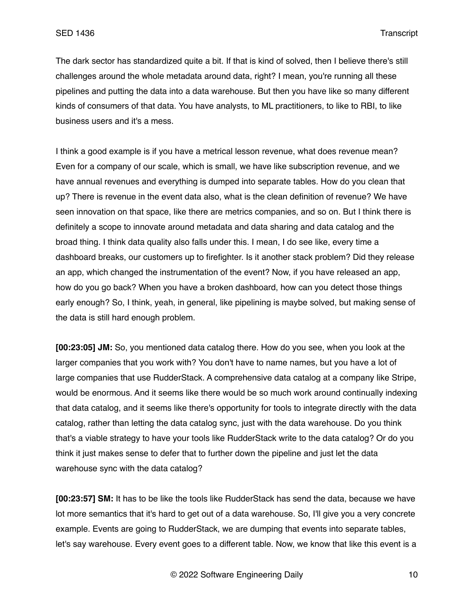The dark sector has standardized quite a bit. If that is kind of solved, then I believe there's still challenges around the whole metadata around data, right? I mean, you're running all these pipelines and putting the data into a data warehouse. But then you have like so many different kinds of consumers of that data. You have analysts, to ML practitioners, to like to RBI, to like business users and it's a mess.

I think a good example is if you have a metrical lesson revenue, what does revenue mean? Even for a company of our scale, which is small, we have like subscription revenue, and we have annual revenues and everything is dumped into separate tables. How do you clean that up? There is revenue in the event data also, what is the clean definition of revenue? We have seen innovation on that space, like there are metrics companies, and so on. But I think there is definitely a scope to innovate around metadata and data sharing and data catalog and the broad thing. I think data quality also falls under this. I mean, I do see like, every time a dashboard breaks, our customers up to firefighter. Is it another stack problem? Did they release an app, which changed the instrumentation of the event? Now, if you have released an app, how do you go back? When you have a broken dashboard, how can you detect those things early enough? So, I think, yeah, in general, like pipelining is maybe solved, but making sense of the data is still hard enough problem.

**[00:23:05] JM:** So, you mentioned data catalog there. How do you see, when you look at the larger companies that you work with? You don't have to name names, but you have a lot of large companies that use RudderStack. A comprehensive data catalog at a company like Stripe, would be enormous. And it seems like there would be so much work around continually indexing that data catalog, and it seems like there's opportunity for tools to integrate directly with the data catalog, rather than letting the data catalog sync, just with the data warehouse. Do you think that's a viable strategy to have your tools like RudderStack write to the data catalog? Or do you think it just makes sense to defer that to further down the pipeline and just let the data warehouse sync with the data catalog?

**[00:23:57] SM:** It has to be like the tools like RudderStack has send the data, because we have lot more semantics that it's hard to get out of a data warehouse. So, I'll give you a very concrete example. Events are going to RudderStack, we are dumping that events into separate tables, let's say warehouse. Every event goes to a different table. Now, we know that like this event is a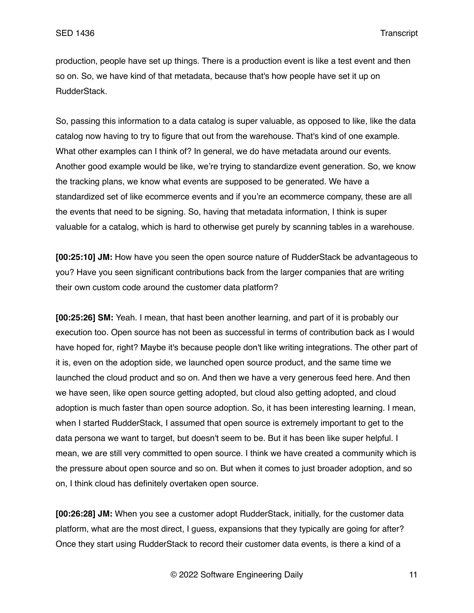production, people have set up things. There is a production event is like a test event and then so on. So, we have kind of that metadata, because that's how people have set it up on RudderStack.

So, passing this information to a data catalog is super valuable, as opposed to like, like the data catalog now having to try to figure that out from the warehouse. That's kind of one example. What other examples can I think of? In general, we do have metadata around our events. Another good example would be like, we're trying to standardize event generation. So, we know the tracking plans, we know what events are supposed to be generated. We have a standardized set of like ecommerce events and if you're an ecommerce company, these are all the events that need to be signing. So, having that metadata information, I think is super valuable for a catalog, which is hard to otherwise get purely by scanning tables in a warehouse.

**[00:25:10] JM:** How have you seen the open source nature of RudderStack be advantageous to you? Have you seen significant contributions back from the larger companies that are writing their own custom code around the customer data platform?

**[00:25:26] SM:** Yeah. I mean, that hast been another learning, and part of it is probably our execution too. Open source has not been as successful in terms of contribution back as I would have hoped for, right? Maybe it's because people don't like writing integrations. The other part of it is, even on the adoption side, we launched open source product, and the same time we launched the cloud product and so on. And then we have a very generous feed here. And then we have seen, like open source getting adopted, but cloud also getting adopted, and cloud adoption is much faster than open source adoption. So, it has been interesting learning. I mean, when I started RudderStack, I assumed that open source is extremely important to get to the data persona we want to target, but doesn't seem to be. But it has been like super helpful. I mean, we are still very committed to open source. I think we have created a community which is the pressure about open source and so on. But when it comes to just broader adoption, and so on, I think cloud has definitely overtaken open source.

**[00:26:28] JM:** When you see a customer adopt RudderStack, initially, for the customer data platform, what are the most direct, I guess, expansions that they typically are going for after? Once they start using RudderStack to record their customer data events, is there a kind of a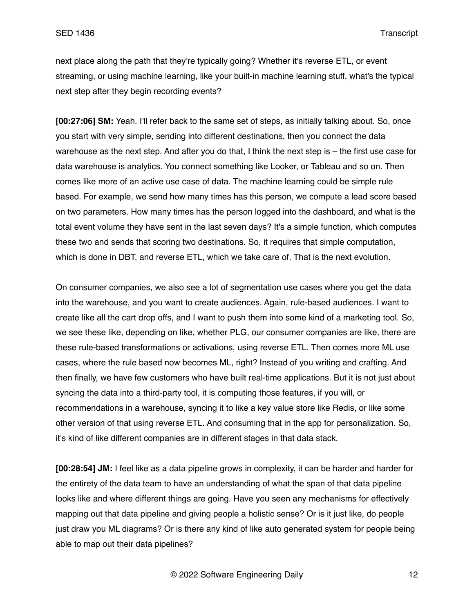next place along the path that they're typically going? Whether it's reverse ETL, or event streaming, or using machine learning, like your built-in machine learning stuff, what's the typical next step after they begin recording events?

**[00:27:06] SM:** Yeah. I'll refer back to the same set of steps, as initially talking about. So, once you start with very simple, sending into different destinations, then you connect the data warehouse as the next step. And after you do that, I think the next step is – the first use case for data warehouse is analytics. You connect something like Looker, or Tableau and so on. Then comes like more of an active use case of data. The machine learning could be simple rule based. For example, we send how many times has this person, we compute a lead score based on two parameters. How many times has the person logged into the dashboard, and what is the total event volume they have sent in the last seven days? It's a simple function, which computes these two and sends that scoring two destinations. So, it requires that simple computation, which is done in DBT, and reverse ETL, which we take care of. That is the next evolution.

On consumer companies, we also see a lot of segmentation use cases where you get the data into the warehouse, and you want to create audiences. Again, rule-based audiences. I want to create like all the cart drop offs, and I want to push them into some kind of a marketing tool. So, we see these like, depending on like, whether PLG, our consumer companies are like, there are these rule-based transformations or activations, using reverse ETL. Then comes more ML use cases, where the rule based now becomes ML, right? Instead of you writing and crafting. And then finally, we have few customers who have built real-time applications. But it is not just about syncing the data into a third-party tool, it is computing those features, if you will, or recommendations in a warehouse, syncing it to like a key value store like Redis, or like some other version of that using reverse ETL. And consuming that in the app for personalization. So, it's kind of like different companies are in different stages in that data stack.

**[00:28:54] JM:** I feel like as a data pipeline grows in complexity, it can be harder and harder for the entirety of the data team to have an understanding of what the span of that data pipeline looks like and where different things are going. Have you seen any mechanisms for effectively mapping out that data pipeline and giving people a holistic sense? Or is it just like, do people just draw you ML diagrams? Or is there any kind of like auto generated system for people being able to map out their data pipelines?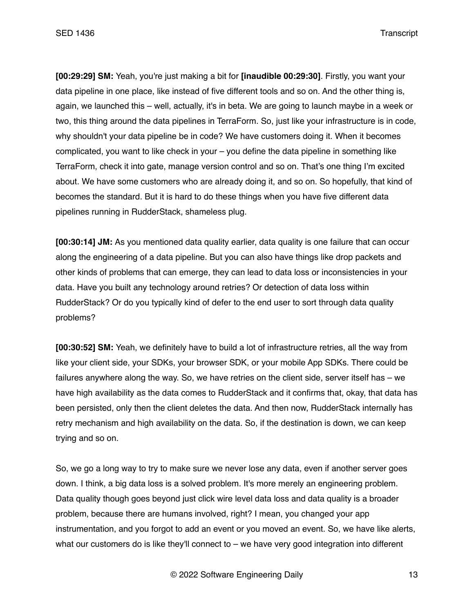**[00:29:29] SM:** Yeah, you're just making a bit for **[inaudible 00:29:30]**. Firstly, you want your data pipeline in one place, like instead of five different tools and so on. And the other thing is, again, we launched this – well, actually, it's in beta. We are going to launch maybe in a week or two, this thing around the data pipelines in TerraForm. So, just like your infrastructure is in code, why shouldn't your data pipeline be in code? We have customers doing it. When it becomes complicated, you want to like check in your – you define the data pipeline in something like TerraForm, check it into gate, manage version control and so on. That's one thing I'm excited about. We have some customers who are already doing it, and so on. So hopefully, that kind of becomes the standard. But it is hard to do these things when you have five different data pipelines running in RudderStack, shameless plug.

**[00:30:14] JM:** As you mentioned data quality earlier, data quality is one failure that can occur along the engineering of a data pipeline. But you can also have things like drop packets and other kinds of problems that can emerge, they can lead to data loss or inconsistencies in your data. Have you built any technology around retries? Or detection of data loss within RudderStack? Or do you typically kind of defer to the end user to sort through data quality problems?

**[00:30:52] SM:** Yeah, we definitely have to build a lot of infrastructure retries, all the way from like your client side, your SDKs, your browser SDK, or your mobile App SDKs. There could be failures anywhere along the way. So, we have retries on the client side, server itself has – we have high availability as the data comes to RudderStack and it confirms that, okay, that data has been persisted, only then the client deletes the data. And then now, RudderStack internally has retry mechanism and high availability on the data. So, if the destination is down, we can keep trying and so on.

So, we go a long way to try to make sure we never lose any data, even if another server goes down. I think, a big data loss is a solved problem. It's more merely an engineering problem. Data quality though goes beyond just click wire level data loss and data quality is a broader problem, because there are humans involved, right? I mean, you changed your app instrumentation, and you forgot to add an event or you moved an event. So, we have like alerts, what our customers do is like they'll connect to  $-$  we have very good integration into different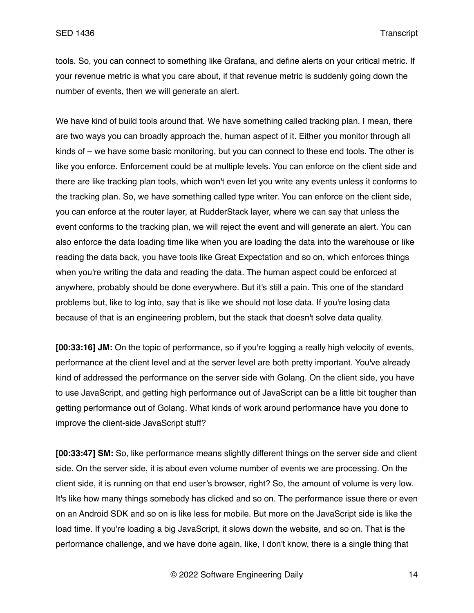tools. So, you can connect to something like Grafana, and define alerts on your critical metric. If your revenue metric is what you care about, if that revenue metric is suddenly going down the number of events, then we will generate an alert.

We have kind of build tools around that. We have something called tracking plan. I mean, there are two ways you can broadly approach the, human aspect of it. Either you monitor through all kinds of – we have some basic monitoring, but you can connect to these end tools. The other is like you enforce. Enforcement could be at multiple levels. You can enforce on the client side and there are like tracking plan tools, which won't even let you write any events unless it conforms to the tracking plan. So, we have something called type writer. You can enforce on the client side, you can enforce at the router layer, at RudderStack layer, where we can say that unless the event conforms to the tracking plan, we will reject the event and will generate an alert. You can also enforce the data loading time like when you are loading the data into the warehouse or like reading the data back, you have tools like Great Expectation and so on, which enforces things when you're writing the data and reading the data. The human aspect could be enforced at anywhere, probably should be done everywhere. But it's still a pain. This one of the standard problems but, like to log into, say that is like we should not lose data. If you're losing data because of that is an engineering problem, but the stack that doesn't solve data quality.

**[00:33:16] JM:** On the topic of performance, so if you're logging a really high velocity of events, performance at the client level and at the server level are both pretty important. You've already kind of addressed the performance on the server side with Golang. On the client side, you have to use JavaScript, and getting high performance out of JavaScript can be a little bit tougher than getting performance out of Golang. What kinds of work around performance have you done to improve the client-side JavaScript stuff?

**[00:33:47] SM:** So, like performance means slightly different things on the server side and client side. On the server side, it is about even volume number of events we are processing. On the client side, it is running on that end user's browser, right? So, the amount of volume is very low. It's like how many things somebody has clicked and so on. The performance issue there or even on an Android SDK and so on is like less for mobile. But more on the JavaScript side is like the load time. If you're loading a big JavaScript, it slows down the website, and so on. That is the performance challenge, and we have done again, like, I don't know, there is a single thing that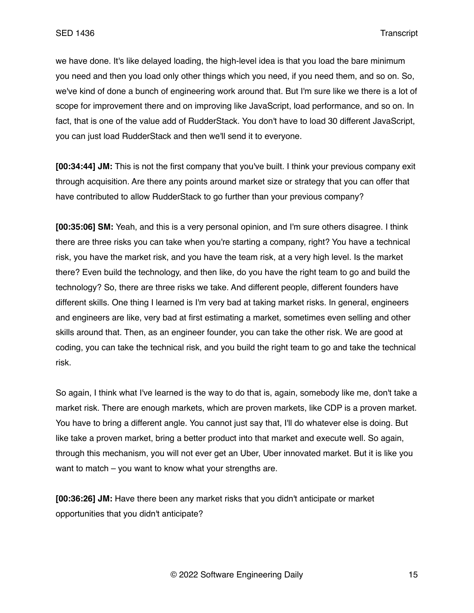we have done. It's like delayed loading, the high-level idea is that you load the bare minimum you need and then you load only other things which you need, if you need them, and so on. So, we've kind of done a bunch of engineering work around that. But I'm sure like we there is a lot of scope for improvement there and on improving like JavaScript, load performance, and so on. In fact, that is one of the value add of RudderStack. You don't have to load 30 different JavaScript, you can just load RudderStack and then we'll send it to everyone.

**[00:34:44] JM:** This is not the first company that you've built. I think your previous company exit through acquisition. Are there any points around market size or strategy that you can offer that have contributed to allow RudderStack to go further than your previous company?

**[00:35:06] SM:** Yeah, and this is a very personal opinion, and I'm sure others disagree. I think there are three risks you can take when you're starting a company, right? You have a technical risk, you have the market risk, and you have the team risk, at a very high level. Is the market there? Even build the technology, and then like, do you have the right team to go and build the technology? So, there are three risks we take. And different people, different founders have different skills. One thing I learned is I'm very bad at taking market risks. In general, engineers and engineers are like, very bad at first estimating a market, sometimes even selling and other skills around that. Then, as an engineer founder, you can take the other risk. We are good at coding, you can take the technical risk, and you build the right team to go and take the technical risk.

So again, I think what I've learned is the way to do that is, again, somebody like me, don't take a market risk. There are enough markets, which are proven markets, like CDP is a proven market. You have to bring a different angle. You cannot just say that, I'll do whatever else is doing. But like take a proven market, bring a better product into that market and execute well. So again, through this mechanism, you will not ever get an Uber, Uber innovated market. But it is like you want to match – you want to know what your strengths are.

**[00:36:26] JM:** Have there been any market risks that you didn't anticipate or market opportunities that you didn't anticipate?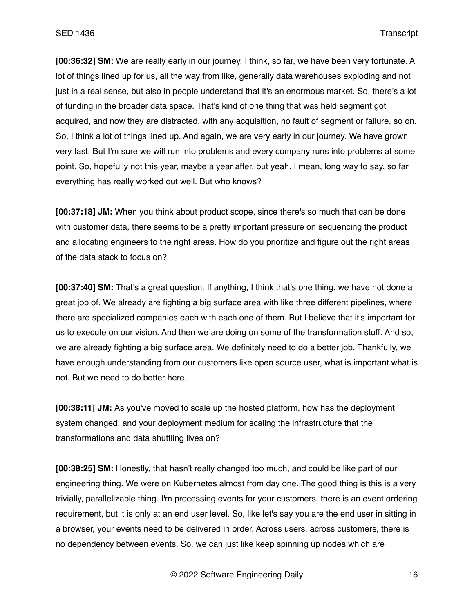**[00:36:32] SM:** We are really early in our journey. I think, so far, we have been very fortunate. A lot of things lined up for us, all the way from like, generally data warehouses exploding and not just in a real sense, but also in people understand that it's an enormous market. So, there's a lot of funding in the broader data space. That's kind of one thing that was held segment got acquired, and now they are distracted, with any acquisition, no fault of segment or failure, so on. So, I think a lot of things lined up. And again, we are very early in our journey. We have grown very fast. But I'm sure we will run into problems and every company runs into problems at some point. So, hopefully not this year, maybe a year after, but yeah. I mean, long way to say, so far everything has really worked out well. But who knows?

**[00:37:18] JM:** When you think about product scope, since there's so much that can be done with customer data, there seems to be a pretty important pressure on sequencing the product and allocating engineers to the right areas. How do you prioritize and figure out the right areas of the data stack to focus on?

**[00:37:40] SM:** That's a great question. If anything, I think that's one thing, we have not done a great job of. We already are fighting a big surface area with like three different pipelines, where there are specialized companies each with each one of them. But I believe that it's important for us to execute on our vision. And then we are doing on some of the transformation stuff. And so, we are already fighting a big surface area. We definitely need to do a better job. Thankfully, we have enough understanding from our customers like open source user, what is important what is not. But we need to do better here.

**[00:38:11] JM:** As you've moved to scale up the hosted platform, how has the deployment system changed, and your deployment medium for scaling the infrastructure that the transformations and data shuttling lives on?

**[00:38:25] SM:** Honestly, that hasn't really changed too much, and could be like part of our engineering thing. We were on Kubernetes almost from day one. The good thing is this is a very trivially, parallelizable thing. I'm processing events for your customers, there is an event ordering requirement, but it is only at an end user level. So, like let's say you are the end user in sitting in a browser, your events need to be delivered in order. Across users, across customers, there is no dependency between events. So, we can just like keep spinning up nodes which are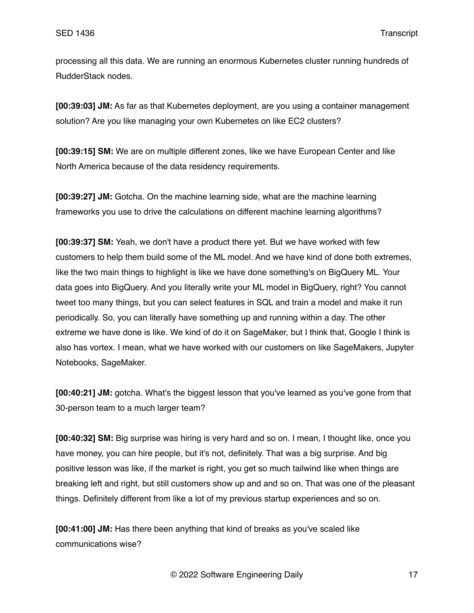processing all this data. We are running an enormous Kubernetes cluster running hundreds of RudderStack nodes.

**[00:39:03] JM:** As far as that Kubernetes deployment, are you using a container management solution? Are you like managing your own Kubernetes on like EC2 clusters?

**[00:39:15] SM:** We are on multiple different zones, like we have European Center and like North America because of the data residency requirements.

**[00:39:27] JM:** Gotcha. On the machine learning side, what are the machine learning frameworks you use to drive the calculations on different machine learning algorithms?

**[00:39:37] SM:** Yeah, we don't have a product there yet. But we have worked with few customers to help them build some of the ML model. And we have kind of done both extremes, like the two main things to highlight is like we have done something's on BigQuery ML. Your data goes into BigQuery. And you literally write your ML model in BigQuery, right? You cannot tweet too many things, but you can select features in SQL and train a model and make it run periodically. So, you can literally have something up and running within a day. The other extreme we have done is like. We kind of do it on SageMaker, but I think that, Google I think is also has vortex. I mean, what we have worked with our customers on like SageMakers, Jupyter Notebooks, SageMaker.

**[00:40:21] JM:** gotcha. What's the biggest lesson that you've learned as you've gone from that 30-person team to a much larger team?

**[00:40:32] SM:** Big surprise was hiring is very hard and so on. I mean, I thought like, once you have money, you can hire people, but it's not, definitely. That was a big surprise. And big positive lesson was like, if the market is right, you get so much tailwind like when things are breaking left and right, but still customers show up and and so on. That was one of the pleasant things. Definitely different from like a lot of my previous startup experiences and so on.

**[00:41:00] JM:** Has there been anything that kind of breaks as you've scaled like communications wise?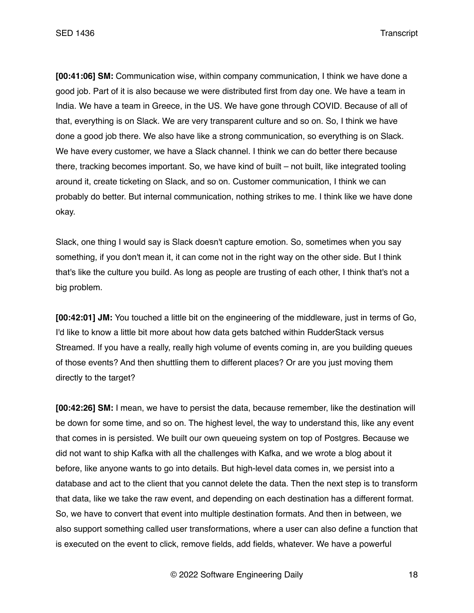**[00:41:06] SM:** Communication wise, within company communication, I think we have done a good job. Part of it is also because we were distributed first from day one. We have a team in India. We have a team in Greece, in the US. We have gone through COVID. Because of all of that, everything is on Slack. We are very transparent culture and so on. So, I think we have done a good job there. We also have like a strong communication, so everything is on Slack. We have every customer, we have a Slack channel. I think we can do better there because there, tracking becomes important. So, we have kind of built – not built, like integrated tooling around it, create ticketing on Slack, and so on. Customer communication, I think we can probably do better. But internal communication, nothing strikes to me. I think like we have done okay.

Slack, one thing I would say is Slack doesn't capture emotion. So, sometimes when you say something, if you don't mean it, it can come not in the right way on the other side. But I think that's like the culture you build. As long as people are trusting of each other, I think that's not a big problem.

**[00:42:01] JM:** You touched a little bit on the engineering of the middleware, just in terms of Go, I'd like to know a little bit more about how data gets batched within RudderStack versus Streamed. If you have a really, really high volume of events coming in, are you building queues of those events? And then shuttling them to different places? Or are you just moving them directly to the target?

**[00:42:26] SM:** I mean, we have to persist the data, because remember, like the destination will be down for some time, and so on. The highest level, the way to understand this, like any event that comes in is persisted. We built our own queueing system on top of Postgres. Because we did not want to ship Kafka with all the challenges with Kafka, and we wrote a blog about it before, like anyone wants to go into details. But high-level data comes in, we persist into a database and act to the client that you cannot delete the data. Then the next step is to transform that data, like we take the raw event, and depending on each destination has a different format. So, we have to convert that event into multiple destination formats. And then in between, we also support something called user transformations, where a user can also define a function that is executed on the event to click, remove fields, add fields, whatever. We have a powerful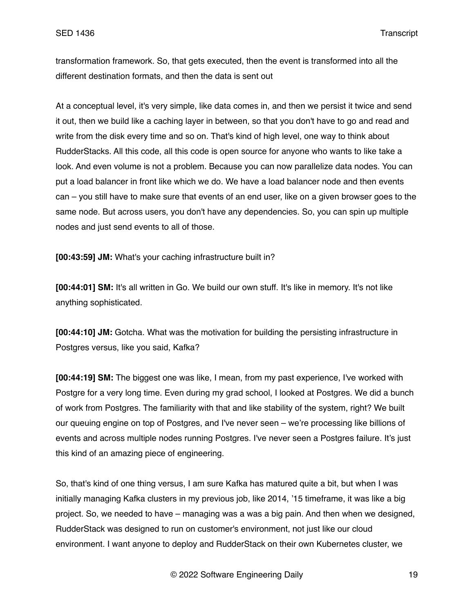transformation framework. So, that gets executed, then the event is transformed into all the different destination formats, and then the data is sent out

At a conceptual level, it's very simple, like data comes in, and then we persist it twice and send it out, then we build like a caching layer in between, so that you don't have to go and read and write from the disk every time and so on. That's kind of high level, one way to think about RudderStacks. All this code, all this code is open source for anyone who wants to like take a look. And even volume is not a problem. Because you can now parallelize data nodes. You can put a load balancer in front like which we do. We have a load balancer node and then events can – you still have to make sure that events of an end user, like on a given browser goes to the same node. But across users, you don't have any dependencies. So, you can spin up multiple nodes and just send events to all of those.

**[00:43:59] JM:** What's your caching infrastructure built in?

**[00:44:01] SM:** It's all written in Go. We build our own stuff. It's like in memory. It's not like anything sophisticated.

**[00:44:10] JM:** Gotcha. What was the motivation for building the persisting infrastructure in Postgres versus, like you said, Kafka?

**[00:44:19] SM:** The biggest one was like, I mean, from my past experience, I've worked with Postgre for a very long time. Even during my grad school, I looked at Postgres. We did a bunch of work from Postgres. The familiarity with that and like stability of the system, right? We built our queuing engine on top of Postgres, and I've never seen – we're processing like billions of events and across multiple nodes running Postgres. I've never seen a Postgres failure. It's just this kind of an amazing piece of engineering.

So, that's kind of one thing versus, I am sure Kafka has matured quite a bit, but when I was initially managing Kafka clusters in my previous job, like 2014, '15 timeframe, it was like a big project. So, we needed to have – managing was a was a big pain. And then when we designed, RudderStack was designed to run on customer's environment, not just like our cloud environment. I want anyone to deploy and RudderStack on their own Kubernetes cluster, we